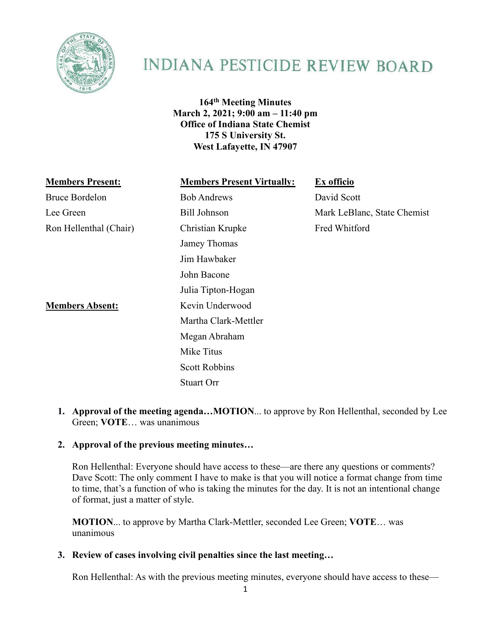

# **INDIANA PESTICIDE REVIEW BOARD**

**164th Meeting Minutes March 2, 2021; 9:00 am – 11:40 pm Office of Indiana State Chemist 175 S University St. West Lafayette, IN 47907**

| <b>Members Present:</b> | <b>Members Present Virtually:</b> | Ex officio                  |
|-------------------------|-----------------------------------|-----------------------------|
| <b>Bruce Bordelon</b>   | <b>Bob Andrews</b>                | David Scott                 |
| Lee Green               | Bill Johnson                      | Mark LeBlanc, State Chemist |
| Ron Hellenthal (Chair)  | Christian Krupke                  | Fred Whitford               |
|                         | Jamey Thomas                      |                             |
|                         | Jim Hawbaker                      |                             |
|                         | John Bacone                       |                             |
|                         | Julia Tipton-Hogan                |                             |
| <b>Members Absent:</b>  | Kevin Underwood                   |                             |
|                         | Martha Clark-Mettler              |                             |
|                         | Megan Abraham                     |                             |
|                         | Mike Titus                        |                             |
|                         | <b>Scott Robbins</b>              |                             |
|                         | Stuart Orr                        |                             |

**1. Approval of the meeting agenda…MOTION**... to approve by Ron Hellenthal, seconded by Lee Green; **VOTE**… was unanimous

## **2. Approval of the previous meeting minutes…**

Ron Hellenthal: Everyone should have access to these—are there any questions or comments? Dave Scott: The only comment I have to make is that you will notice a format change from time to time, that's a function of who is taking the minutes for the day. It is not an intentional change of format, just a matter of style.

**MOTION**... to approve by Martha Clark-Mettler, seconded Lee Green; **VOTE**… was unanimous

## **3. Review of cases involving civil penalties since the last meeting…**

Ron Hellenthal: As with the previous meeting minutes, everyone should have access to these—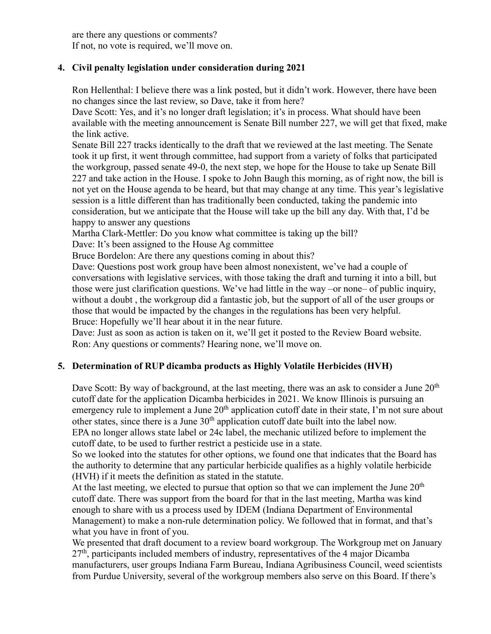are there any questions or comments? If not, no vote is required, we'll move on.

#### **4. Civil penalty legislation under consideration during 2021**

Ron Hellenthal: I believe there was a link posted, but it didn't work. However, there have been no changes since the last review, so Dave, take it from here?

Dave Scott: Yes, and it's no longer draft legislation; it's in process. What should have been available with the meeting announcement is Senate Bill number 227, we will get that fixed, make the link active.

Senate Bill 227 tracks identically to the draft that we reviewed at the last meeting. The Senate took it up first, it went through committee, had support from a variety of folks that participated the workgroup, passed senate 49-0, the next step, we hope for the House to take up Senate Bill 227 and take action in the House. I spoke to John Baugh this morning, as of right now, the bill is not yet on the House agenda to be heard, but that may change at any time. This year's legislative session is a little different than has traditionally been conducted, taking the pandemic into consideration, but we anticipate that the House will take up the bill any day. With that, I'd be happy to answer any questions

Martha Clark-Mettler: Do you know what committee is taking up the bill?

Dave: It's been assigned to the House Ag committee

Bruce Bordelon: Are there any questions coming in about this?

Dave: Questions post work group have been almost nonexistent, we've had a couple of conversations with legislative services, with those taking the draft and turning it into a bill, but those were just clarification questions. We've had little in the way –or none– of public inquiry, without a doubt , the workgroup did a fantastic job, but the support of all of the user groups or those that would be impacted by the changes in the regulations has been very helpful. Bruce: Hopefully we'll hear about it in the near future.

Dave: Just as soon as action is taken on it, we'll get it posted to the Review Board website. Ron: Any questions or comments? Hearing none, we'll move on.

## **5. Determination of RUP dicamba products as Highly Volatile Herbicides (HVH)**

Dave Scott: By way of background, at the last meeting, there was an ask to consider a June  $20<sup>th</sup>$ cutoff date for the application Dicamba herbicides in 2021. We know Illinois is pursuing an emergency rule to implement a June 20<sup>th</sup> application cutoff date in their state, I'm not sure about other states, since there is a June  $30<sup>th</sup>$  application cutoff date built into the label now. EPA no longer allows state label or 24c label, the mechanic utilized before to implement the cutoff date, to be used to further restrict a pesticide use in a state.

So we looked into the statutes for other options, we found one that indicates that the Board has the authority to determine that any particular herbicide qualifies as a highly volatile herbicide (HVH) if it meets the definition as stated in the statute.

At the last meeting, we elected to pursue that option so that we can implement the June  $20<sup>th</sup>$ cutoff date. There was support from the board for that in the last meeting, Martha was kind enough to share with us a process used by IDEM (Indiana Department of Environmental Management) to make a non-rule determination policy. We followed that in format, and that's what you have in front of you.

We presented that draft document to a review board workgroup. The Workgroup met on January  $27<sup>th</sup>$ , participants included members of industry, representatives of the 4 major Dicamba manufacturers, user groups Indiana Farm Bureau, Indiana Agribusiness Council, weed scientists from Purdue University, several of the workgroup members also serve on this Board. If there's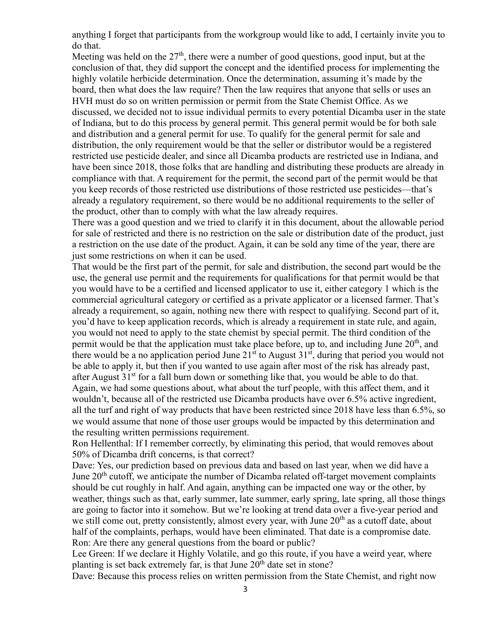anything I forget that participants from the workgroup would like to add, I certainly invite you to do that.

Meeting was held on the  $27<sup>th</sup>$ , there were a number of good questions, good input, but at the conclusion of that, they did support the concept and the identified process for implementing the highly volatile herbicide determination. Once the determination, assuming it's made by the board, then what does the law require? Then the law requires that anyone that sells or uses an HVH must do so on written permission or permit from the State Chemist Office. As we discussed, we decided not to issue individual permits to every potential Dicamba user in the state of Indiana, but to do this process by general permit. This general permit would be for both sale and distribution and a general permit for use. To qualify for the general permit for sale and distribution, the only requirement would be that the seller or distributor would be a registered restricted use pesticide dealer, and since all Dicamba products are restricted use in Indiana, and have been since 2018, those folks that are handling and distributing these products are already in compliance with that. A requirement for the permit, the second part of the permit would be that you keep records of those restricted use distributions of those restricted use pesticides—that's already a regulatory requirement, so there would be no additional requirements to the seller of the product, other than to comply with what the law already requires.

There was a good question and we tried to clarify it in this document, about the allowable period for sale of restricted and there is no restriction on the sale or distribution date of the product, just a restriction on the use date of the product. Again, it can be sold any time of the year, there are just some restrictions on when it can be used.

That would be the first part of the permit, for sale and distribution, the second part would be the use, the general use permit and the requirements for qualifications for that permit would be that you would have to be a certified and licensed applicator to use it, either category 1 which is the commercial agricultural category or certified as a private applicator or a licensed farmer. That's already a requirement, so again, nothing new there with respect to qualifying. Second part of it, you'd have to keep application records, which is already a requirement in state rule, and again, you would not need to apply to the state chemist by special permit. The third condition of the permit would be that the application must take place before, up to, and including June  $20<sup>th</sup>$ , and there would be a no application period June  $21^{st}$  to August  $31^{st}$ , during that period you would not be able to apply it, but then if you wanted to use again after most of the risk has already past, after August  $31<sup>st</sup>$  for a fall burn down or something like that, you would be able to do that. Again, we had some questions about, what about the turf people, with this affect them, and it wouldn't, because all of the restricted use Dicamba products have over 6.5% active ingredient, all the turf and right of way products that have been restricted since 2018 have less than 6.5%, so we would assume that none of those user groups would be impacted by this determination and the resulting written permissions requirement.

Ron Hellenthal: If I remember correctly, by eliminating this period, that would removes about 50% of Dicamba drift concerns, is that correct?

Dave: Yes, our prediction based on previous data and based on last year, when we did have a June  $20<sup>th</sup>$  cutoff, we anticipate the number of Dicamba related off-target movement complaints should be cut roughly in half. And again, anything can be impacted one way or the other, by weather, things such as that, early summer, late summer, early spring, late spring, all those things are going to factor into it somehow. But we're looking at trend data over a five-year period and we still come out, pretty consistently, almost every year, with June  $20<sup>th</sup>$  as a cutoff date, about half of the complaints, perhaps, would have been eliminated. That date is a compromise date. Ron: Are there any general questions from the board or public?

Lee Green: If we declare it Highly Volatile, and go this route, if you have a weird year, where planting is set back extremely far, is that June  $20<sup>th</sup>$  date set in stone?

Dave: Because this process relies on written permission from the State Chemist, and right now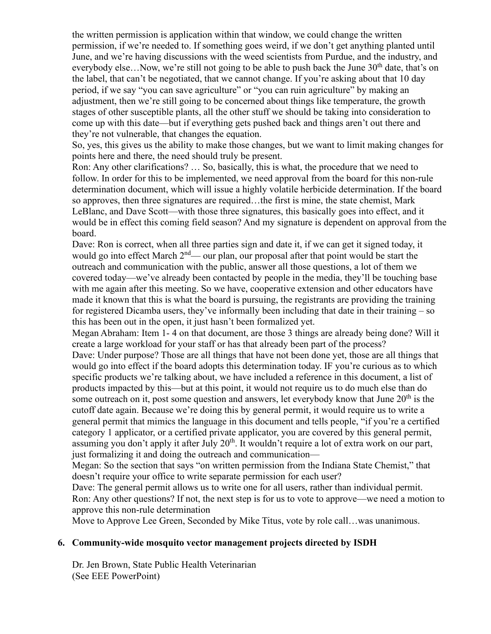the written permission is application within that window, we could change the written permission, if we're needed to. If something goes weird, if we don't get anything planted until June, and we're having discussions with the weed scientists from Purdue, and the industry, and everybody else...Now, we're still not going to be able to push back the June  $30<sup>th</sup>$  date, that's on the label, that can't be negotiated, that we cannot change. If you're asking about that 10 day period, if we say "you can save agriculture" or "you can ruin agriculture" by making an adjustment, then we're still going to be concerned about things like temperature, the growth stages of other susceptible plants, all the other stuff we should be taking into consideration to come up with this date—but if everything gets pushed back and things aren't out there and they're not vulnerable, that changes the equation.

So, yes, this gives us the ability to make those changes, but we want to limit making changes for points here and there, the need should truly be present.

Ron: Any other clarifications? … So, basically, this is what, the procedure that we need to follow. In order for this to be implemented, we need approval from the board for this non-rule determination document, which will issue a highly volatile herbicide determination. If the board so approves, then three signatures are required...the first is mine, the state chemist, Mark LeBlanc, and Dave Scott—with those three signatures, this basically goes into effect, and it would be in effect this coming field season? And my signature is dependent on approval from the board.

Dave: Ron is correct, when all three parties sign and date it, if we can get it signed today, it would go into effect March  $2<sup>nd</sup>$  our plan, our proposal after that point would be start the outreach and communication with the public, answer all those questions, a lot of them we covered today—we've already been contacted by people in the media, they'll be touching base with me again after this meeting. So we have, cooperative extension and other educators have made it known that this is what the board is pursuing, the registrants are providing the training for registered Dicamba users, they've informally been including that date in their training – so this has been out in the open, it just hasn't been formalized yet.

Megan Abraham: Item 1- 4 on that document, are those 3 things are already being done? Will it create a large workload for your staff or has that already been part of the process?

Dave: Under purpose? Those are all things that have not been done yet, those are all things that would go into effect if the board adopts this determination today. IF you're curious as to which specific products we're talking about, we have included a reference in this document, a list of products impacted by this—but at this point, it would not require us to do much else than do some outreach on it, post some question and answers, let everybody know that June  $20<sup>th</sup>$  is the cutoff date again. Because we're doing this by general permit, it would require us to write a general permit that mimics the language in this document and tells people, "if you're a certified category 1 applicator, or a certified private applicator, you are covered by this general permit, assuming you don't apply it after July  $20<sup>th</sup>$ . It wouldn't require a lot of extra work on our part, just formalizing it and doing the outreach and communication—

Megan: So the section that says "on written permission from the Indiana State Chemist," that doesn't require your office to write separate permission for each user?

Dave: The general permit allows us to write one for all users, rather than individual permit. Ron: Any other questions? If not, the next step is for us to vote to approve—we need a motion to approve this non-rule determination

Move to Approve Lee Green, Seconded by Mike Titus, vote by role call…was unanimous.

#### **6. Community-wide mosquito vector management projects directed by ISDH**

Dr. Jen Brown, State Public Health Veterinarian (See EEE PowerPoint)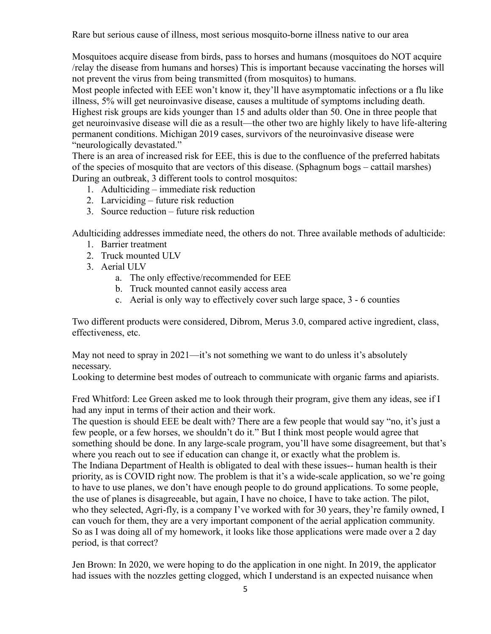Rare but serious cause of illness, most serious mosquito-borne illness native to our area

Mosquitoes acquire disease from birds, pass to horses and humans (mosquitoes do NOT acquire /relay the disease from humans and horses) This is important because vaccinating the horses will not prevent the virus from being transmitted (from mosquitos) to humans.

Most people infected with EEE won't know it, they'll have asymptomatic infections or a flu like illness, 5% will get neuroinvasive disease, causes a multitude of symptoms including death. Highest risk groups are kids younger than 15 and adults older than 50. One in three people that get neuroinvasive disease will die as a result—the other two are highly likely to have life-altering permanent conditions. Michigan 2019 cases, survivors of the neuroinvasive disease were "neurologically devastated."

There is an area of increased risk for EEE, this is due to the confluence of the preferred habitats of the species of mosquito that are vectors of this disease. (Sphagnum bogs – cattail marshes) During an outbreak, 3 different tools to control mosquitos:

- 1. Adulticiding immediate risk reduction
- 2. Larviciding future risk reduction
- 3. Source reduction future risk reduction

Adulticiding addresses immediate need, the others do not. Three available methods of adulticide:

- 1. Barrier treatment
- 2. Truck mounted ULV
- 3. Aerial ULV
	- a. The only effective/recommended for EEE
	- b. Truck mounted cannot easily access area
	- c. Aerial is only way to effectively cover such large space, 3 6 counties

Two different products were considered, Dibrom, Merus 3.0, compared active ingredient, class, effectiveness, etc.

May not need to spray in 2021—it's not something we want to do unless it's absolutely necessary.

Looking to determine best modes of outreach to communicate with organic farms and apiarists.

Fred Whitford: Lee Green asked me to look through their program, give them any ideas, see if I had any input in terms of their action and their work.

The question is should EEE be dealt with? There are a few people that would say "no, it's just a few people, or a few horses, we shouldn't do it." But I think most people would agree that something should be done. In any large-scale program, you'll have some disagreement, but that's where you reach out to see if education can change it, or exactly what the problem is. The Indiana Department of Health is obligated to deal with these issues-- human health is their priority, as is COVID right now. The problem is that it's a wide-scale application, so we're going to have to use planes, we don't have enough people to do ground applications. To some people, the use of planes is disagreeable, but again, I have no choice, I have to take action. The pilot, who they selected, Agri-fly, is a company I've worked with for 30 years, they're family owned, I can vouch for them, they are a very important component of the aerial application community. So as I was doing all of my homework, it looks like those applications were made over a 2 day period, is that correct?

Jen Brown: In 2020, we were hoping to do the application in one night. In 2019, the applicator had issues with the nozzles getting clogged, which I understand is an expected nuisance when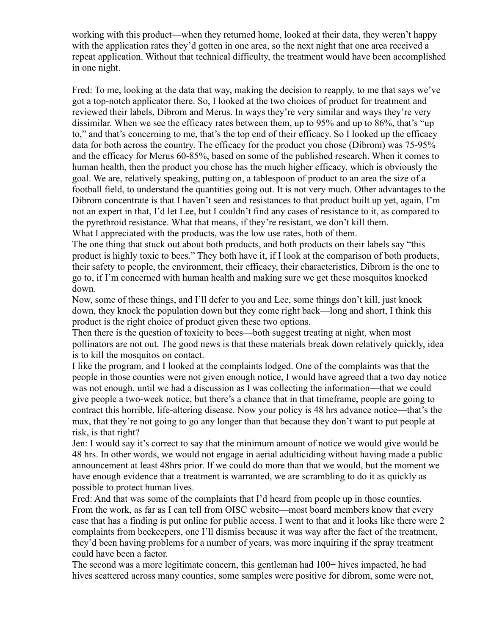working with this product—when they returned home, looked at their data, they weren't happy with the application rates they'd gotten in one area, so the next night that one area received a repeat application. Without that technical difficulty, the treatment would have been accomplished in one night.

Fred: To me, looking at the data that way, making the decision to reapply, to me that says we've got a top-notch applicator there. So, I looked at the two choices of product for treatment and reviewed their labels, Dibrom and Merus. In ways they're very similar and ways they're very dissimilar. When we see the efficacy rates between them, up to 95% and up to 86%, that's "up to," and that's concerning to me, that's the top end of their efficacy. So I looked up the efficacy data for both across the country. The efficacy for the product you chose (Dibrom) was 75-95% and the efficacy for Merus 60-85%, based on some of the published research. When it comes to human health, then the product you chose has the much higher efficacy, which is obviously the goal. We are, relatively speaking, putting on, a tablespoon of product to an area the size of a football field, to understand the quantities going out. It is not very much. Other advantages to the Dibrom concentrate is that I haven't seen and resistances to that product built up yet, again, I'm not an expert in that, I'd let Lee, but I couldn't find any cases of resistance to it, as compared to the pyrethroid resistance. What that means, if they're resistant, we don't kill them. What I appreciated with the products, was the low use rates, both of them.

The one thing that stuck out about both products, and both products on their labels say "this product is highly toxic to bees." They both have it, if I look at the comparison of both products, their safety to people, the environment, their efficacy, their characteristics, Dibrom is the one to go to, if I'm concerned with human health and making sure we get these mosquitos knocked down.

Now, some of these things, and I'll defer to you and Lee, some things don't kill, just knock down, they knock the population down but they come right back—long and short, I think this product is the right choice of product given these two options.

Then there is the question of toxicity to bees—both suggest treating at night, when most pollinators are not out. The good news is that these materials break down relatively quickly, idea is to kill the mosquitos on contact.

I like the program, and I looked at the complaints lodged. One of the complaints was that the people in those counties were not given enough notice, I would have agreed that a two day notice was not enough, until we had a discussion as I was collecting the information—that we could give people a two-week notice, but there's a chance that in that timeframe, people are going to contract this horrible, life-altering disease. Now your policy is 48 hrs advance notice—that's the max, that they're not going to go any longer than that because they don't want to put people at risk, is that right?

Jen: I would say it's correct to say that the minimum amount of notice we would give would be 48 hrs. In other words, we would not engage in aerial adulticiding without having made a public announcement at least 48hrs prior. If we could do more than that we would, but the moment we have enough evidence that a treatment is warranted, we are scrambling to do it as quickly as possible to protect human lives.

Fred: And that was some of the complaints that I'd heard from people up in those counties. From the work, as far as I can tell from OISC website—most board members know that every case that has a finding is put online for public access. I went to that and it looks like there were 2 complaints from beekeepers, one I'll dismiss because it was way after the fact of the treatment, they'd been having problems for a number of years, was more inquiring if the spray treatment could have been a factor.

The second was a more legitimate concern, this gentleman had  $100+$  hives impacted, he had hives scattered across many counties, some samples were positive for dibrom, some were not,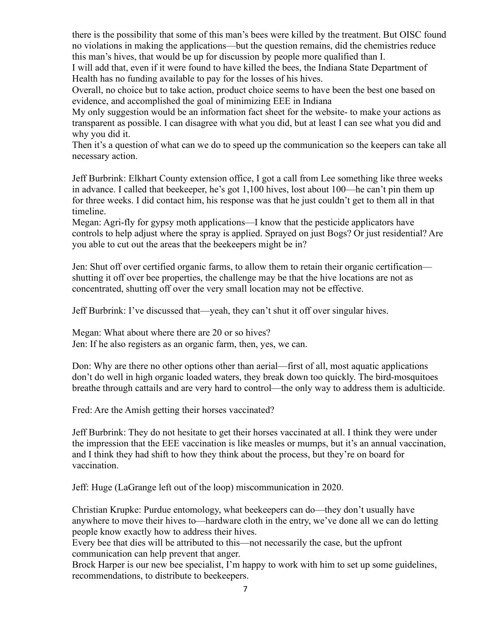there is the possibility that some of this man's bees were killed by the treatment. But OISC found no violations in making the applications—but the question remains, did the chemistries reduce this man's hives, that would be up for discussion by people more qualified than I.

I will add that, even if it were found to have killed the bees, the Indiana State Department of Health has no funding available to pay for the losses of his hives.

Overall, no choice but to take action, product choice seems to have been the best one based on evidence, and accomplished the goal of minimizing EEE in Indiana

My only suggestion would be an information fact sheet for the website- to make your actions as transparent as possible. I can disagree with what you did, but at least I can see what you did and why you did it.

Then it's a question of what can we do to speed up the communication so the keepers can take all necessary action.

Jeff Burbrink: Elkhart County extension office, I got a call from Lee something like three weeks in advance. I called that beekeeper, he's got 1,100 hives, lost about 100—he can't pin them up for three weeks. I did contact him, his response was that he just couldn't get to them all in that timeline.

Megan: Agri-fly for gypsy moth applications—I know that the pesticide applicators have controls to help adjust where the spray is applied. Sprayed on just Bogs? Or just residential? Are you able to cut out the areas that the beekeepers might be in?

Jen: Shut off over certified organic farms, to allow them to retain their organic certification shutting it off over bee properties, the challenge may be that the hive locations are not as concentrated, shutting off over the very small location may not be effective.

Jeff Burbrink: I've discussed that—yeah, they can't shut it off over singular hives.

Megan: What about where there are 20 or so hives? Jen: If he also registers as an organic farm, then, yes, we can.

Don: Why are there no other options other than aerial—first of all, most aquatic applications don't do well in high organic loaded waters, they break down too quickly. The bird-mosquitoes breathe through cattails and are very hard to control—the only way to address them is adulticide.

Fred: Are the Amish getting their horses vaccinated?

Jeff Burbrink: They do not hesitate to get their horses vaccinated at all. I think they were under the impression that the EEE vaccination is like measles or mumps, but it's an annual vaccination, and I think they had shift to how they think about the process, but they're on board for vaccination.

Jeff: Huge (LaGrange left out of the loop) miscommunication in 2020.

Christian Krupke: Purdue entomology, what beekeepers can do—they don't usually have anywhere to move their hives to—hardware cloth in the entry, we've done all we can do letting people know exactly how to address their hives.

Every bee that dies will be attributed to this—not necessarily the case, but the upfront communication can help prevent that anger.

Brock Harper is our new bee specialist, I'm happy to work with him to set up some guidelines, recommendations, to distribute to beekeepers.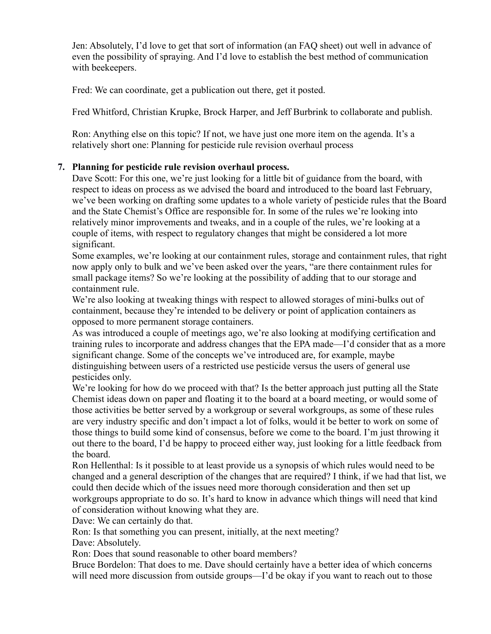Jen: Absolutely, I'd love to get that sort of information (an FAQ sheet) out well in advance of even the possibility of spraying. And I'd love to establish the best method of communication with beekeepers.

Fred: We can coordinate, get a publication out there, get it posted.

Fred Whitford, Christian Krupke, Brock Harper, and Jeff Burbrink to collaborate and publish.

Ron: Anything else on this topic? If not, we have just one more item on the agenda. It's a relatively short one: Planning for pesticide rule revision overhaul process

#### **7. Planning for pesticide rule revision overhaul process.**

Dave Scott: For this one, we're just looking for a little bit of guidance from the board, with respect to ideas on process as we advised the board and introduced to the board last February, we've been working on drafting some updates to a whole variety of pesticide rules that the Board and the State Chemist's Office are responsible for. In some of the rules we're looking into relatively minor improvements and tweaks, and in a couple of the rules, we're looking at a couple of items, with respect to regulatory changes that might be considered a lot more significant.

Some examples, we're looking at our containment rules, storage and containment rules, that right now apply only to bulk and we've been asked over the years, "are there containment rules for small package items? So we're looking at the possibility of adding that to our storage and containment rule.

We're also looking at tweaking things with respect to allowed storages of mini-bulks out of containment, because they're intended to be delivery or point of application containers as opposed to more permanent storage containers.

As was introduced a couple of meetings ago, we're also looking at modifying certification and training rules to incorporate and address changes that the EPA made—I'd consider that as a more significant change. Some of the concepts we've introduced are, for example, maybe distinguishing between users of a restricted use pesticide versus the users of general use pesticides only.

We're looking for how do we proceed with that? Is the better approach just putting all the State Chemist ideas down on paper and floating it to the board at a board meeting, or would some of those activities be better served by a workgroup or several workgroups, as some of these rules are very industry specific and don't impact a lot of folks, would it be better to work on some of those things to build some kind of consensus, before we come to the board. I'm just throwing it out there to the board, I'd be happy to proceed either way, just looking for a little feedback from the board.

Ron Hellenthal: Is it possible to at least provide us a synopsis of which rules would need to be changed and a general description of the changes that are required? I think, if we had that list, we could then decide which of the issues need more thorough consideration and then set up workgroups appropriate to do so. It's hard to know in advance which things will need that kind of consideration without knowing what they are.

Dave: We can certainly do that.

Ron: Is that something you can present, initially, at the next meeting?

Dave: Absolutely.

Ron: Does that sound reasonable to other board members?

Bruce Bordelon: That does to me. Dave should certainly have a better idea of which concerns will need more discussion from outside groups—I'd be okay if you want to reach out to those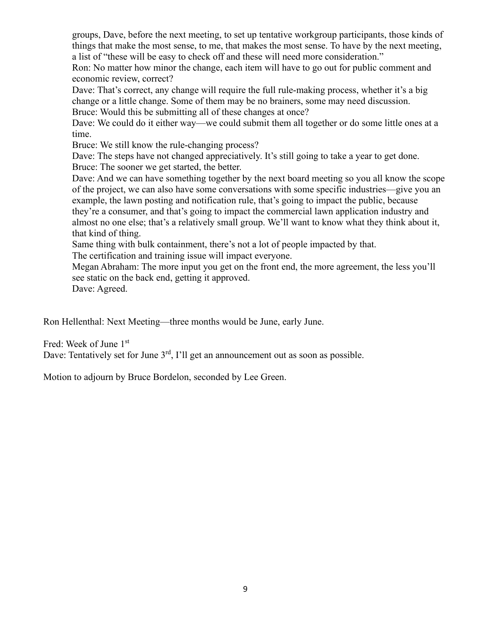groups, Dave, before the next meeting, to set up tentative workgroup participants, those kinds of things that make the most sense, to me, that makes the most sense. To have by the next meeting, a list of "these will be easy to check off and these will need more consideration."

Ron: No matter how minor the change, each item will have to go out for public comment and economic review, correct?

Dave: That's correct, any change will require the full rule-making process, whether it's a big change or a little change. Some of them may be no brainers, some may need discussion.

Bruce: Would this be submitting all of these changes at once?

Dave: We could do it either way—we could submit them all together or do some little ones at a time.

Bruce: We still know the rule-changing process?

Dave: The steps have not changed appreciatively. It's still going to take a year to get done. Bruce: The sooner we get started, the better.

Dave: And we can have something together by the next board meeting so you all know the scope of the project, we can also have some conversations with some specific industries—give you an example, the lawn posting and notification rule, that's going to impact the public, because they're a consumer, and that's going to impact the commercial lawn application industry and almost no one else; that's a relatively small group. We'll want to know what they think about it, that kind of thing.

Same thing with bulk containment, there's not a lot of people impacted by that.

The certification and training issue will impact everyone.

Megan Abraham: The more input you get on the front end, the more agreement, the less you'll see static on the back end, getting it approved.

Dave: Agreed.

Ron Hellenthal: Next Meeting—three months would be June, early June.

Fred: Week of June 1st

Dave: Tentatively set for June 3<sup>rd</sup>, I'll get an announcement out as soon as possible.

Motion to adjourn by Bruce Bordelon, seconded by Lee Green.